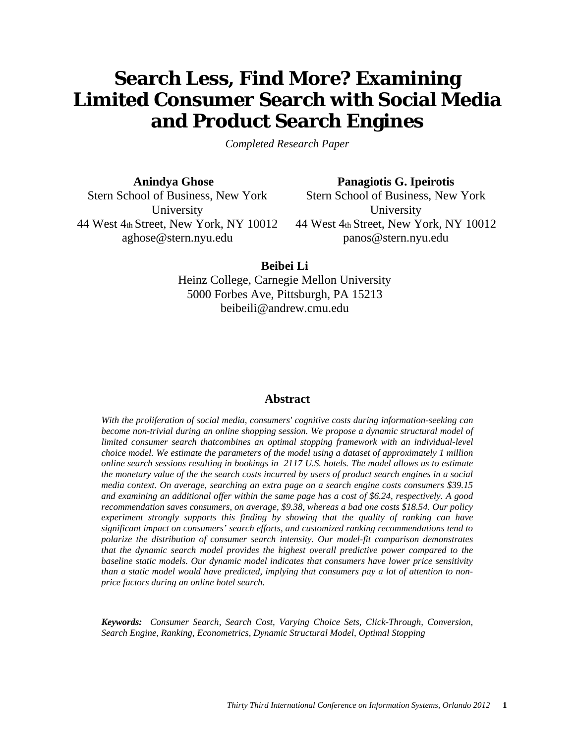# **Search Less, Find More? Examining Limited Consumer Search with Social Media and Product Search Engines**

*Completed Research Paper*

**Anindya Ghose**

**Panagiotis G. Ipeirotis**

Stern School of Business, New York University 44 West 4th Street, New York, NY 10012 aghose@stern.nyu.edu

Stern School of Business, New York **University** 44 West 4th Street, New York, NY 10012 panos@stern.nyu.edu

**Beibei Li**

Heinz College, Carnegie Mellon University 5000 Forbes Ave, Pittsburgh, PA 15213 beibeili@andrew.cmu.edu

# **Abstract**

*With the proliferation of social media, consumers' cognitive costs during information-seeking can become non-trivial during an online shopping session. We propose a dynamic structural model of limited consumer search thatcombines an optimal stopping framework with an individual-level choice model. We estimate the parameters of the model using a dataset of approximately 1 million online search sessions resulting in bookings in 2117 U.S. hotels. The model allows us to estimate the monetary value of the the search costs incurred by users of product search engines in a social media context. On average, searching an extra page on a search engine costs consumers \$39.15 and examining an additional offer within the same page has a cost of \$6.24, respectively. A good recommendation saves consumers, on average, \$9.38, whereas a bad one costs \$18.54. Our policy experiment strongly supports this finding by showing that the quality of ranking can have significant impact on consumers' search efforts, and customized ranking recommendations tend to polarize the distribution of consumer search intensity. Our model-fit comparison demonstrates that the dynamic search model provides the highest overall predictive power compared to the baseline static models. Our dynamic model indicates that consumers have lower price sensitivity than a static model would have predicted, implying that consumers pay a lot of attention to nonprice factors during an online hotel search.*

*Keywords: Consumer Search, Search Cost, Varying Choice Sets, Click-Through, Conversion, Search Engine, Ranking, Econometrics, Dynamic Structural Model, Optimal Stopping*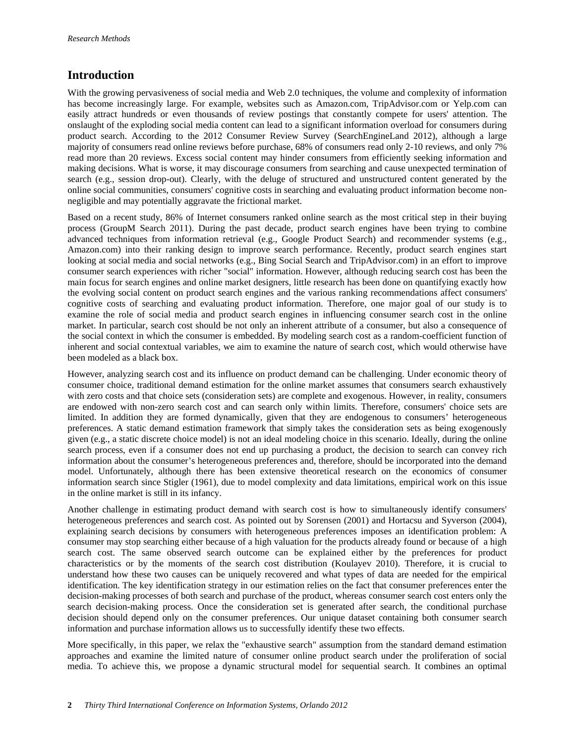# **Introduction**

With the growing pervasiveness of social media and Web 2.0 techniques, the volume and complexity of information has become increasingly large. For example, websites such as Amazon.com, TripAdvisor.com or Yelp.com can easily attract hundreds or even thousands of review postings that constantly compete for users' attention. The onslaught of the exploding social media content can lead to a significant information overload for consumers during product search. According to the 2012 Consumer Review Survey (SearchEngineLand 2012), although a large majority of consumers read online reviews before purchase, 68% of consumers read only 2-10 reviews, and only 7% read more than 20 reviews. Excess social content may hinder consumers from efficiently seeking information and making decisions. What is worse, it may discourage consumers from searching and cause unexpected termination of search (e.g., session drop-out). Clearly, with the deluge of structured and unstructured content generated by the online social communities, consumers' cognitive costs in searching and evaluating product information become nonnegligible and may potentially aggravate the frictional market.

Based on a recent study, 86% of Internet consumers ranked online search as the most critical step in their buying process (GroupM Search 2011). During the past decade, product search engines have been trying to combine advanced techniques from information retrieval (e.g., Google Product Search) and recommender systems (e.g., Amazon.com) into their ranking design to improve search performance. Recently, product search engines start looking at social media and social networks (e.g., Bing Social Search and TripAdvisor.com) in an effort to improve consumer search experiences with richer "social" information. However, although reducing search cost has been the main focus for search engines and online market designers, little research has been done on quantifying exactly how the evolving social content on product search engines and the various ranking recommendations affect consumers' cognitive costs of searching and evaluating product information. Therefore, one major goal of our study is to examine the role of social media and product search engines in influencing consumer search cost in the online market. In particular, search cost should be not only an inherent attribute of a consumer, but also a consequence of the social context in which the consumer is embedded. By modeling search cost as a random-coefficient function of inherent and social contextual variables, we aim to examine the nature of search cost, which would otherwise have been modeled as a black box.

However, analyzing search cost and its influence on product demand can be challenging. Under economic theory of consumer choice, traditional demand estimation for the online market assumes that consumers search exhaustively with zero costs and that choice sets (consideration sets) are complete and exogenous. However, in reality, consumers are endowed with non-zero search cost and can search only within limits. Therefore, consumers' choice sets are limited. In addition they are formed dynamically, given that they are endogenous to consumers' heterogeneous preferences. A static demand estimation framework that simply takes the consideration sets as being exogenously given (e.g., a static discrete choice model) is not an ideal modeling choice in this scenario. Ideally, during the online search process, even if a consumer does not end up purchasing a product, the decision to search can convey rich information about the consumer's heterogeneous preferences and, therefore, should be incorporated into the demand model. Unfortunately, although there has been extensive theoretical research on the economics of consumer information search since Stigler (1961), due to model complexity and data limitations, empirical work on this issue in the online market is still in its infancy.

Another challenge in estimating product demand with search cost is how to simultaneously identify consumers' heterogeneous preferences and search cost. As pointed out by Sorensen (2001) and Hortacsu and Syverson (2004), explaining search decisions by consumers with heterogeneous preferences imposes an identification problem: A consumer may stop searching either because of a high valuation for the products already found or because of a high search cost. The same observed search outcome can be explained either by the preferences for product characteristics or by the moments of the search cost distribution (Koulayev 2010). Therefore, it is crucial to understand how these two causes can be uniquely recovered and what types of data are needed for the empirical identification. The key identification strategy in our estimation relies on the fact that consumer preferences enter the decision-making processes of both search and purchase of the product, whereas consumer search cost enters only the search decision-making process. Once the consideration set is generated after search, the conditional purchase decision should depend only on the consumer preferences. Our unique dataset containing both consumer search information and purchase information allows us to successfully identify these two effects.

More specifically, in this paper, we relax the "exhaustive search" assumption from the standard demand estimation approaches and examine the limited nature of consumer online product search under the proliferation of social media. To achieve this, we propose a dynamic structural model for sequential search. It combines an optimal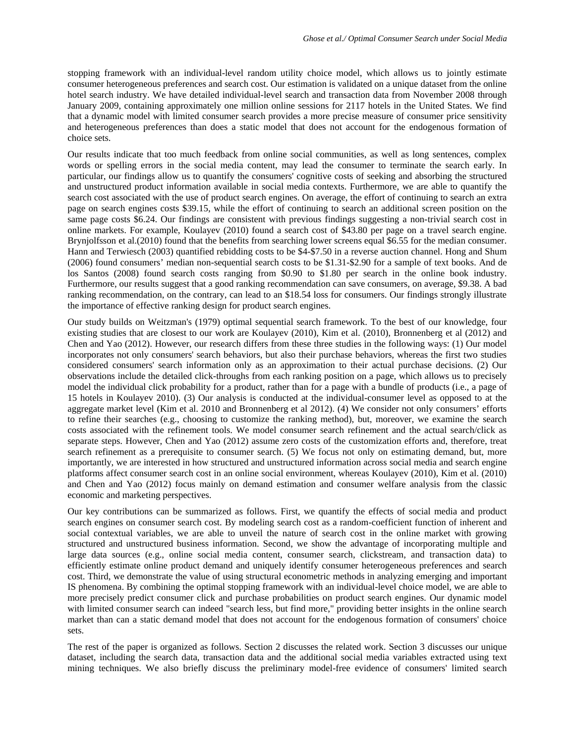stopping framework with an individual-level random utility choice model, which allows us to jointly estimate consumer heterogeneous preferences and search cost. Our estimation is validated on a unique dataset from the online hotel search industry. We have detailed individual-level search and transaction data from November 2008 through January 2009, containing approximately one million online sessions for 2117 hotels in the United States. We find that a dynamic model with limited consumer search provides a more precise measure of consumer price sensitivity and heterogeneous preferences than does a static model that does not account for the endogenous formation of choice sets.

Our results indicate that too much feedback from online social communities, as well as long sentences, complex words or spelling errors in the social media content, may lead the consumer to terminate the search early. In particular, our findings allow us to quantify the consumers' cognitive costs of seeking and absorbing the structured and unstructured product information available in social media contexts. Furthermore, we are able to quantify the search cost associated with the use of product search engines. On average, the effort of continuing to search an extra page on search engines costs \$39.15, while the effort of continuing to search an additional screen position on the same page costs \$6.24. Our findings are consistent with previous findings suggesting a non-trivial search cost in online markets. For example, Koulayev (2010) found a search cost of \$43.80 per page on a travel search engine. Brynjolfsson et al.(2010) found that the benefits from searching lower screens equal \$6.55 for the median consumer. Hann and Terwiesch (2003) quantified rebidding costs to be \$4-\$7.50 in a reverse auction channel. Hong and Shum (2006) found consumers' median non-sequential search costs to be \$1.31-\$2.90 for a sample of text books. And de los Santos (2008) found search costs ranging from \$0.90 to \$1.80 per search in the online book industry. Furthermore, our results suggest that a good ranking recommendation can save consumers, on average, \$9.38. A bad ranking recommendation, on the contrary, can lead to an \$18.54 loss for consumers. Our findings strongly illustrate the importance of effective ranking design for product search engines.

Our study builds on Weitzman's (1979) optimal sequential search framework. To the best of our knowledge, four existing studies that are closest to our work are Koulayev (2010), Kim et al. (2010), Bronnenberg et al (2012) and Chen and Yao (2012). However, our research differs from these three studies in the following ways: (1) Our model incorporates not only consumers' search behaviors, but also their purchase behaviors, whereas the first two studies considered consumers' search information only as an approximation to their actual purchase decisions. (2) Our observations include the detailed click-throughs from each ranking position on a page, which allows us to precisely model the individual click probability for a product, rather than for a page with a bundle of products (i.e., a page of 15 hotels in Koulayev 2010). (3) Our analysis is conducted at the individual-consumer level as opposed to at the aggregate market level (Kim et al. 2010 and Bronnenberg et al 2012). (4) We consider not only consumers' efforts to refine their searches (e.g., choosing to customize the ranking method), but, moreover, we examine the search costs associated with the refinement tools. We model consumer search refinement and the actual search/click as separate steps. However, Chen and Yao (2012) assume zero costs of the customization efforts and, therefore, treat search refinement as a prerequisite to consumer search. (5) We focus not only on estimating demand, but, more importantly, we are interested in how structured and unstructured information across social media and search engine platforms affect consumer search cost in an online social environment, whereas Koulayev (2010), Kim et al. (2010) and Chen and Yao (2012) focus mainly on demand estimation and consumer welfare analysis from the classic economic and marketing perspectives.

Our key contributions can be summarized as follows. First, we quantify the effects of social media and product search engines on consumer search cost. By modeling search cost as a random-coefficient function of inherent and social contextual variables, we are able to unveil the nature of search cost in the online market with growing structured and unstructured business information. Second, we show the advantage of incorporating multiple and large data sources (e.g., online social media content, consumer search, clickstream, and transaction data) to efficiently estimate online product demand and uniquely identify consumer heterogeneous preferences and search cost. Third, we demonstrate the value of using structural econometric methods in analyzing emerging and important IS phenomena. By combining the optimal stopping framework with an individual-level choice model, we are able to more precisely predict consumer click and purchase probabilities on product search engines. Our dynamic model with limited consumer search can indeed "search less, but find more," providing better insights in the online search market than can a static demand model that does not account for the endogenous formation of consumers' choice sets.

The rest of the paper is organized as follows. Section 2 discusses the related work. Section 3 discusses our unique dataset, including the search data, transaction data and the additional social media variables extracted using text mining techniques. We also briefly discuss the preliminary model-free evidence of consumers' limited search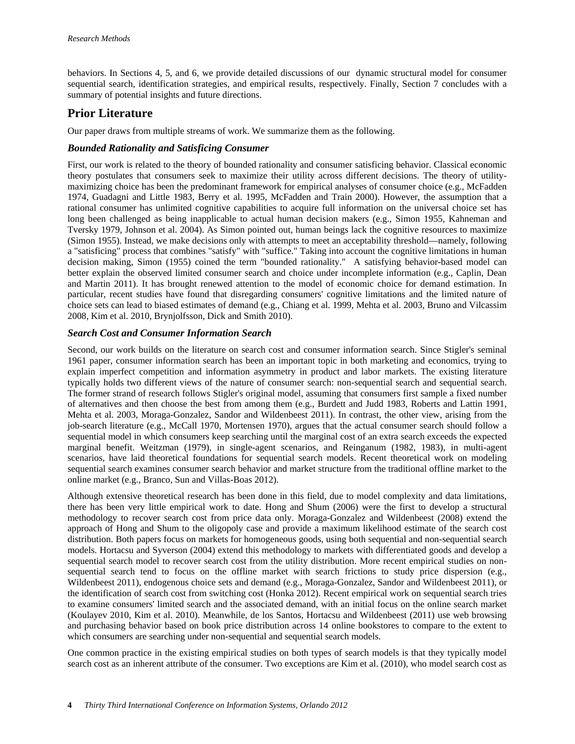behaviors. In Sections 4, 5, and 6, we provide detailed discussions of our dynamic structural model for consumer sequential search, identification strategies, and empirical results, respectively. Finally, Section 7 concludes with a summary of potential insights and future directions.

# **Prior Literature**

Our paper draws from multiple streams of work. We summarize them as the following.

## *Bounded Rationality and Satisficing Consumer*

First, our work is related to the theory of bounded rationality and consumer satisficing behavior. Classical economic theory postulates that consumers seek to maximize their utility across different decisions. The theory of utilitymaximizing choice has been the predominant framework for empirical analyses of consumer choice (e.g., McFadden 1974, Guadagni and Little 1983, Berry et al. 1995, McFadden and Train 2000). However, the assumption that a rational consumer has unlimited cognitive capabilities to acquire full information on the universal choice set has long been challenged as being inapplicable to actual human decision makers (e.g., Simon 1955, Kahneman and Tversky 1979, Johnson et al. 2004). As Simon pointed out, human beings lack the cognitive resources to maximize (Simon 1955). Instead, we make decisions only with attempts to meet an acceptability threshold—namely, following a "satisficing" process that combines "satisfy" with "suffice." Taking into account the cognitive limitations in human decision making, Simon (1955) coined the term ["bounded rationality.](http://en.wikipedia.org/wiki/Bounded_rationality)" A satisfying behavior-based model can better explain the observed limited consumer search and choice under incomplete information (e.g., Caplin, Dean and Martin 2011). It has brought renewed attention to the model of economic choice for demand estimation. In particular, recent studies have found that disregarding consumers' cognitive limitations and the limited nature of choice sets can lead to biased estimates of demand (e.g., Chiang et al. 1999, Mehta et al. 2003, Bruno and Vilcassim 2008, Kim et al. 2010, Brynjolfsson, Dick and Smith 2010).

## *Search Cost and Consumer Information Search*

Second, our work builds on the literature on search cost and consumer information search. Since Stigler's seminal 1961 paper, consumer information search has been an important topic in both marketing and economics, trying to explain imperfect competition and information asymmetry in product and labor markets. The existing literature typically holds two different views of the nature of consumer search: non-sequential search and sequential search. The former strand of research follows Stigler's original model, assuming that consumers first sample a fixed number of alternatives and then choose the best from among them (e.g., Burdett and Judd 1983, Roberts and Lattin 1991, Mehta et al. 2003, Moraga-Gonzalez, Sandor and Wildenbeest 2011). In contrast, the other view, arising from the job-search literature (e.g., McCall 1970, Mortensen 1970), argues that the actual consumer search should follow a sequential model in which consumers keep searching until the marginal cost of an extra search exceeds the expected marginal benefit. Weitzman (1979), in single-agent scenarios, and Reinganum (1982, 1983), in multi-agent scenarios, have laid theoretical foundations for sequential search models. Recent theoretical work on modeling sequential search examines consumer search behavior and market structure from the traditional offline market to the online market (e.g., Branco, Sun and Villas-Boas 2012).

Although extensive theoretical research has been done in this field, due to model complexity and data limitations, there has been very little empirical work to date. Hong and Shum (2006) were the first to develop a structural methodology to recover search cost from price data only. Moraga-Gonzalez and Wildenbeest (2008) extend the approach of Hong and Shum to the oligopoly case and provide a maximum likelihood estimate of the search cost distribution. Both papers focus on markets for homogeneous goods, using both sequential and non-sequential search models. Hortacsu and Syverson (2004) extend this methodology to markets with differentiated goods and develop a sequential search model to recover search cost from the utility distribution. More recent empirical studies on nonsequential search tend to focus on the offline market with search frictions to study price dispersion (e.g., Wildenbeest 2011), endogenous choice sets and demand (e.g., Moraga-Gonzalez, Sandor and Wildenbeest 2011), or the identification of search cost from switching cost (Honka 2012). Recent empirical work on sequential search tries to examine consumers' limited search and the associated demand, with an initial focus on the online search market (Koulayev 2010, Kim et al. 2010). Meanwhile, de los Santos, Hortacsu and Wildenbeest (2011) use web browsing and purchasing behavior based on book price distribution across 14 online bookstores to compare to the extent to which consumers are searching under non-sequential and sequential search models.

One common practice in the existing empirical studies on both types of search models is that they typically model search cost as an inherent attribute of the consumer. Two exceptions are Kim et al. (2010), who model search cost as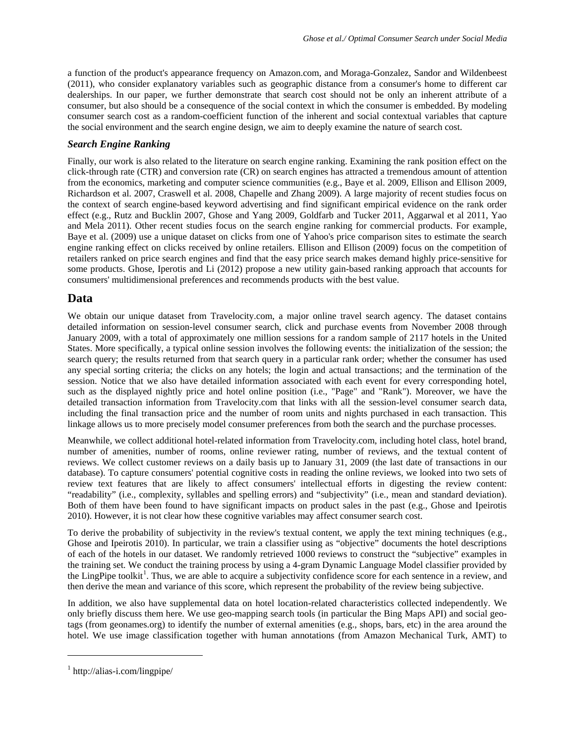a function of the product's appearance frequency on Amazon.com, and Moraga-Gonzalez, Sandor and Wildenbeest (2011), who consider explanatory variables such as geographic distance from a consumer's home to different car dealerships. In our paper, we further demonstrate that search cost should not be only an inherent attribute of a consumer, but also should be a consequence of the social context in which the consumer is embedded. By modeling consumer search cost as a random-coefficient function of the inherent and social contextual variables that capture the social environment and the search engine design, we aim to deeply examine the nature of search cost.

## *Search Engine Ranking*

Finally, our work is also related to the literature on search engine ranking. Examining the rank position effect on the click-through rate (CTR) and conversion rate (CR) on search engines has attracted a tremendous amount of attention from the economics, marketing and computer science communities (e.g., Baye et al. 2009, Ellison and Ellison 2009, Richardson et al. 2007, Craswell et al. 2008, Chapelle and Zhang 2009). A large majority of recent studies focus on the context of search engine-based keyword advertising and find significant empirical evidence on the rank order effect (e.g., Rutz and Bucklin 2007, Ghose and Yang 2009, Goldfarb and Tucker 2011, Aggarwal et al 2011, Yao and Mela 2011). Other recent studies focus on the search engine ranking for commercial products. For example, Baye et al. (2009) use a unique dataset on clicks from one of Yahoo's price comparison sites to estimate the search engine ranking effect on clicks received by online retailers. Ellison and Ellison (2009) focus on the competition of retailers ranked on price search engines and find that the easy price search makes demand highly price-sensitive for some products. Ghose, Iperotis and Li (2012) propose a new utility gain-based ranking approach that accounts for consumers' multidimensional preferences and recommends products with the best value.

# **Data**

We obtain our unique dataset from Travelocity.com, a major online travel search agency. The dataset contains detailed information on session-level consumer search, click and purchase events from November 2008 through January 2009, with a total of approximately one million sessions for a random sample of 2117 hotels in the United States. More specifically, a typical online session involves the following events: the initialization of the session; the search query; the results returned from that search query in a particular rank order; whether the consumer has used any special sorting criteria; the clicks on any hotels; the login and actual transactions; and the termination of the session. Notice that we also have detailed information associated with each event for every corresponding hotel, such as the displayed nightly price and hotel online position (i.e., "Page" and "Rank"). Moreover, we have the detailed transaction information from Travelocity.com that links with all the session-level consumer search data, including the final transaction price and the number of room units and nights purchased in each transaction. This linkage allows us to more precisely model consumer preferences from both the search and the purchase processes.

Meanwhile, we collect additional hotel-related information from Travelocity.com, including hotel class, hotel brand, number of amenities, number of rooms, online reviewer rating, number of reviews, and the textual content of reviews. We collect customer reviews on a daily basis up to January 31, 2009 (the last date of transactions in our database). To capture consumers' potential cognitive costs in reading the online reviews, we looked into two sets of review text features that are likely to affect consumers' intellectual efforts in digesting the review content: "readability" (i.e., complexity, syllables and spelling errors) and "subjectivity" (i.e., mean and standard deviation). Both of them have been found to have significant impacts on product sales in the past (e.g., Ghose and Ipeirotis 2010). However, it is not clear how these cognitive variables may affect consumer search cost.

To derive the probability of subjectivity in the review's textual content, we apply the text mining techniques (e.g., Ghose and Ipeirotis 2010). In particular, we train a classifier using as "objective" documents the hotel descriptions of each of the hotels in our dataset. We randomly retrieved 1000 reviews to construct the "subjective" examples in the training set. We conduct the training process by using a 4-gram Dynamic Language Model classifier provided by the LingPipe toolkit<sup>[1](#page-4-0)</sup>. Thus, we are able to acquire a subjectivity confidence score for each sentence in a review, and then derive the mean and variance of this score, which represent the probability of the review being subjective.

In addition, we also have supplemental data on hotel location-related characteristics collected independently. We only briefly discuss them here. We use geo-mapping search tools (in particular the Bing Maps API) and social geotags (from geonames.org) to identify the number of external amenities (e.g., shops, bars, etc) in the area around the hotel. We use image classification together with human annotations (from Amazon Mechanical Turk, AMT) to

 $\overline{a}$ 

<span id="page-4-0"></span><sup>1</sup> http://alias-i.com/lingpipe/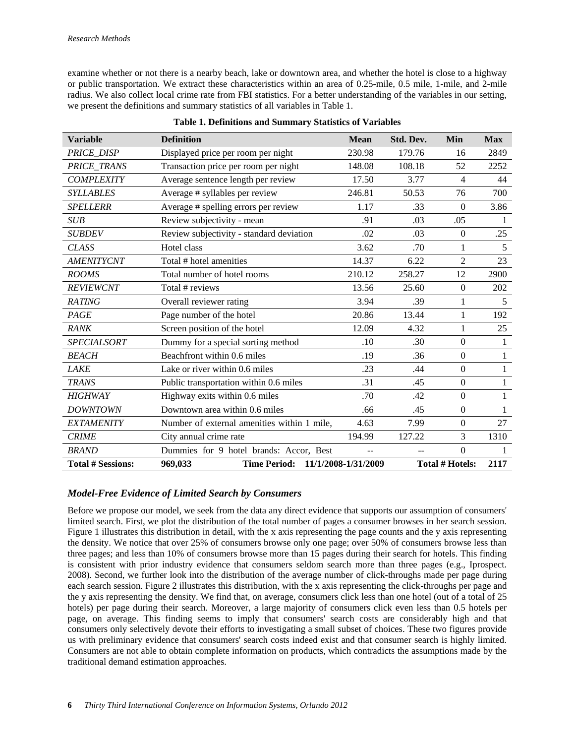examine whether or not there is a nearby beach, lake or downtown area, and whether the hotel is close to a highway or public transportation. We extract these characteristics within an area of 0.25-mile, 0.5 mile, 1-mile, and 2-mile radius. We also collect local crime rate from FBI statistics. For a better understanding of the variables in our setting, we present the definitions and summary statistics of all variables in Table 1.

| <b>Variable</b>          | <b>Definition</b>                           | <b>Mean</b>         | Std. Dev. | Min                    | <b>Max</b>   |
|--------------------------|---------------------------------------------|---------------------|-----------|------------------------|--------------|
| PRICE_DISP               | Displayed price per room per night          | 230.98              | 179.76    | 16                     | 2849         |
| PRICE_TRANS              | Transaction price per room per night        | 148.08              | 108.18    | 52                     | 2252         |
| <b>COMPLEXITY</b>        | Average sentence length per review          | 17.50               | 3.77      | $\overline{4}$         | 44           |
| <b>SYLLABLES</b>         | Average # syllables per review              | 246.81              | 50.53     | 76                     | 700          |
| <b>SPELLERR</b>          | Average # spelling errors per review        | 1.17                | .33       | $\mathbf{0}$           | 3.86         |
| <b>SUB</b>               | Review subjectivity - mean                  | .91                 | .03       | .05                    | 1            |
| <b>SUBDEV</b>            | Review subjectivity - standard deviation    | .02                 | .03       | $\mathbf{0}$           | .25          |
| <b>CLASS</b>             | Hotel class                                 | 3.62                | .70       | 1                      | 5            |
| <b>AMENITYCNT</b>        | Total # hotel amenities                     | 14.37               | 6.22      | $\overline{2}$         | 23           |
| <b>ROOMS</b>             | Total number of hotel rooms                 | 210.12              | 258.27    | 12                     | 2900         |
| <b>REVIEWCNT</b>         | Total # reviews                             | 13.56               | 25.60     | $\Omega$               | 202          |
| <b>RATING</b>            | Overall reviewer rating                     | 3.94                | .39       | 1                      | 5            |
| PAGE                     | Page number of the hotel                    | 20.86               | 13.44     | 1                      | 192          |
| <b>RANK</b>              | Screen position of the hotel                | 12.09               | 4.32      | 1                      | 25           |
| <b>SPECIALSORT</b>       | Dummy for a special sorting method          | .10                 | .30       | $\mathbf{0}$           | 1            |
| <b>BEACH</b>             | Beachfront within 0.6 miles                 | .19                 | .36       | $\mathbf{0}$           | 1            |
| <b>LAKE</b>              | Lake or river within 0.6 miles              | .23                 | .44       | $\mathbf{0}$           | $\mathbf{1}$ |
| <b>TRANS</b>             | Public transportation within 0.6 miles      | .31                 | .45       | $\mathbf{0}$           | 1            |
| <b>HIGHWAY</b>           | Highway exits within 0.6 miles              | .70                 | .42       | $\Omega$               | 1            |
| <b>DOWNTOWN</b>          | Downtown area within 0.6 miles              | .66                 | .45       | $\mathbf{0}$           | 1            |
| <b>EXTAMENITY</b>        | Number of external amenities within 1 mile, | 4.63                | 7.99      | $\mathbf{0}$           | 27           |
| <b>CRIME</b>             | City annual crime rate                      | 194.99              | 127.22    | 3                      | 1310         |
| <b>BRAND</b>             | Dummies for 9 hotel brands: Accor, Best     |                     |           | $\Omega$               | 1            |
| <b>Total # Sessions:</b> | <b>Time Period:</b><br>969,033              | 11/1/2008-1/31/2009 |           | <b>Total # Hotels:</b> | 2117         |
|                          |                                             |                     |           |                        |              |

#### **Table 1. Definitions and Summary Statistics of Variables**

## *Model-Free Evidence of Limited Search by Consumers*

Before we propose our model, we seek from the data any direct evidence that supports our assumption of consumers' limited search. First, we plot the distribution of the total number of pages a consumer browses in her search session. Figure 1 illustrates this distribution in detail, with the x axis representing the page counts and the y axis representing the density. We notice that over 25% of consumers browse only one page; over 50% of consumers browse less than three pages; and less than 10% of consumers browse more than 15 pages during their search for hotels. This finding is consistent with prior industry evidence that consumers seldom search more than three pages (e.g., Iprospect. 2008). Second, we further look into the distribution of the average number of click-throughs made per page during each search session. Figure 2 illustrates this distribution, with the x axis representing the click-throughs per page and the y axis representing the density. We find that, on average, consumers click less than one hotel (out of a total of 25 hotels) per page during their search. Moreover, a large majority of consumers click even less than 0.5 hotels per page, on average. This finding seems to imply that consumers' search costs are considerably high and that consumers only selectively devote their efforts to investigating a small subset of choices. These two figures provide us with preliminary evidence that consumers' search costs indeed exist and that consumer search is highly limited. Consumers are not able to obtain complete information on products, which contradicts the assumptions made by the traditional demand estimation approaches.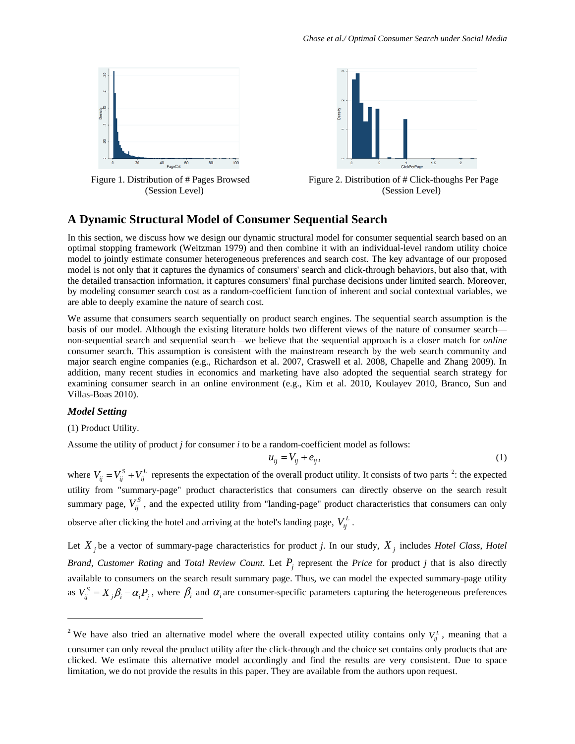



# **A Dynamic Structural Model of Consumer Sequential Search**

In this section, we discuss how we design our dynamic structural model for consumer sequential search based on an optimal stopping framework (Weitzman 1979) and then combine it with an individual-level random utility choice model to jointly estimate consumer heterogeneous preferences and search cost. The key advantage of our proposed model is not only that it captures the dynamics of consumers' search and click-through behaviors, but also that, with the detailed transaction information, it captures consumers' final purchase decisions under limited search. Moreover, by modeling consumer search cost as a random-coefficient function of inherent and social contextual variables, we are able to deeply examine the nature of search cost.

We assume that consumers search sequentially on product search engines. The sequential search assumption is the basis of our model. Although the existing literature holds two different views of the nature of consumer search non-sequential search and sequential search—we believe that the sequential approach is a closer match for *online* consumer search. This assumption is consistent with the mainstream research by the web search community and major search engine companies (e.g., Richardson et al. 2007, Craswell et al. 2008, Chapelle and Zhang 2009). In addition, many recent studies in economics and marketing have also adopted the sequential search strategy for examining consumer search in an online environment (e.g., Kim et al. 2010, Koulayev 2010, Branco, Sun and Villas-Boas 2010).

#### *Model Setting*

 $\overline{a}$ 

(1) Product Utility.

Assume the utility of product *j* for consumer *i* to be a random-coefficient model as follows:

$$
u_{ij} = V_{ij} + e_{ij},\tag{1}
$$

where  $V_{ij} = V_{ij}^S + V_{ij}^L$  represents the expectation of the overall product utility. It consists of two parts <sup>[2](#page-6-0)</sup>: the expected utility from "summary-page" product characteristics that consumers can directly observe on the search result summary page,  $V_{ij}^S$ , and the expected utility from "landing-page" product characteristics that consumers can only observe after clicking the hotel and arriving at the hotel's landing page,  $V_{ii}^L$ .

Let  $X_i$  be a vector of summary-page characteristics for product *j*. In our study,  $X_i$  includes *Hotel Class*, *Hotel Brand, Customer Rating* and *Total Review Count.* Let  $P_i$  represent the *Price* for product *j* that is also directly available to consumers on the search result summary page. Thus, we can model the expected summary-page utility as  $V_{ii}^{S} = X_{i} \beta_{i} - \alpha_{i} P_{i}$ , where  $\beta_{i}$  and  $\alpha_{i}$  are consumer-specific parameters capturing the heterogeneous preferences

<span id="page-6-0"></span><sup>&</sup>lt;sup>2</sup> We have also tried an alternative model where the overall expected utility contains only  $V_i^L$ , meaning that a consumer can only reveal the product utility after the click-through and the choice set contains only products that are clicked. We estimate this alternative model accordingly and find the results are very consistent. Due to space limitation, we do not provide the results in this paper. They are available from the authors upon request.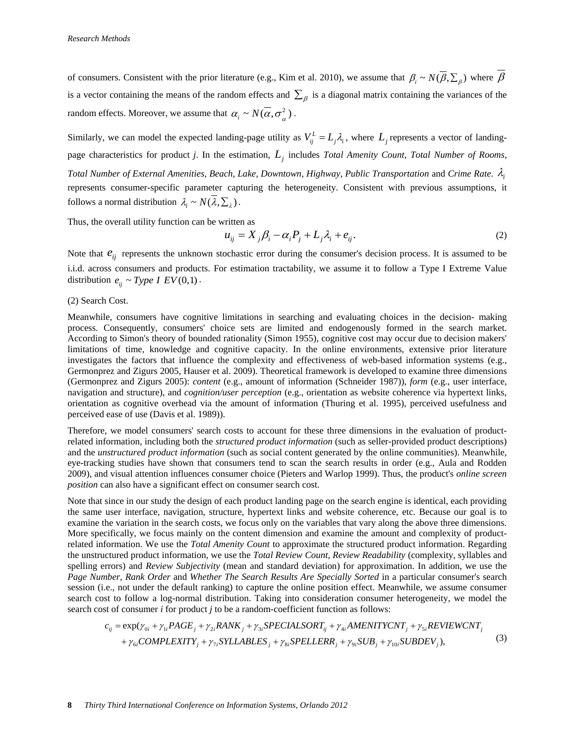of consumers. Consistent with the prior literature (e.g., Kim et al. 2010), we assume that  $\beta_i \sim N(\overline{\beta}, \sum_{\beta})$  where  $\overline{\beta}$ is a vector containing the means of the random effects and  $\sum_{\beta}$  is a diagonal matrix containing the variances of the random effects. Moreover, we assume that  $\alpha_i \sim N(\alpha, \sigma^2)$ .

Similarly, we can model the expected landing-page utility as  $V_{ij}^L = L_j \lambda_i$ , where  $L_j$  represents a vector of landingpage characteristics for product *j*. In the estimation, *Lj* includes *Total Amenity Count*, *Total Number of Rooms, Total Number of External Amenities, Beach, Lake, Downtown, Highway, Public Transportation* and *Crime Rate*. λ*<sup>i</sup>* represents consumer-specific parameter capturing the heterogeneity. Consistent with previous assumptions, it follows a normal distribution  $\lambda_i \sim N(\overline{\lambda}, \sum_i)$ .

Thus, the overall utility function can be written as

$$
u_{ij} = X_j \beta_i - \alpha_i P_j + L_j \lambda_i + e_{ij}.
$$
\n<sup>(2)</sup>

Note that  $e_{ij}$  represents the unknown stochastic error during the consumer's decision process. It is assumed to be i.i.d. across consumers and products. For estimation tractability, we assume it to follow a Type I Extreme Value distribution  $e_{ii} \sim Type \, I \, EV(0,1)$ .

#### (2) Search Cost.

Meanwhile, consumers have cognitive limitations in searching and evaluating choices in the decision- making process. Consequently, consumers' choice sets are limited and endogenously formed in the search market. According to Simon's theory of bounded rationality (Simon 1955), cognitive cost may occur due to decision makers' limitations of time, knowledge and cognitive capacity. In the online environments, extensive prior literature investigates the factors that influence the complexity and effectiveness of web-based information systems (e.g., Germonprez and Zigurs 2005, Hauser et al. 2009). Theoretical framework is developed to examine three dimensions (Germonprez and Zigurs 2005): *content* (e.g., amount of information (Schneider 1987)), *form* (e.g., user interface, navigation and structure), and *cognition/user perception* (e.g., orientation as website coherence via hypertext links, orientation as cognitive overhead via the amount of information (Thuring et al. 1995), perceived usefulness and perceived ease of use (Davis et al. 1989)).

Therefore, we model consumers' search costs to account for these three dimensions in the evaluation of productrelated information, including both the *structured product information* (such as seller-provided product descriptions) and the *unstructured product information* (such as social content generated by the online communities). Meanwhile, eye-tracking studies have shown that consumers tend to scan the search results in order (e.g., Aula and Rodden 2009), and visual attention influences consumer choice (Pieters and Warlop 1999). Thus, the product's *online screen position* can also have a significant effect on consumer search cost.

Note that since in our study the design of each product landing page on the search engine is identical, each providing the same user interface, navigation, structure, hypertext links and website coherence, etc. Because our goal is to examine the variation in the search costs, we focus only on the variables that vary along the above three dimensions. More specifically, we focus mainly on the content dimension and examine the amount and complexity of productrelated information. We use the *Total Amenity Count* to approximate the structured product information. Regarding the unstructured product information, we use the *Total Review Count*, *Review Readability* (complexity, syllables and spelling errors) and *Review Subjectivity* (mean and standard deviation) for approximation. In addition, we use the *Page Number*, *Rank Order* and *Whether The Search Results Are Specially Sorted* in a particular consumer's search session (i.e., not under the default ranking) to capture the online position effect. Meanwhile, we assume consumer search cost to follow a log-normal distribution. Taking into consideration consumer heterogeneity, we model the search cost of consumer *i* for product *j* to be a random-coefficient function as follows:

$$
c_{ij} = \exp(\gamma_{0i} + \gamma_{1i} PAGE_j + \gamma_{2i} RANK_j + \gamma_{3i} SPECIALSORT_{ij} + \gamma_{4i} AMENTCYCNT_j + \gamma_{5i} REVIEWCNT_j
$$
  
+  $\gamma_{6i} COMPLEXITY_j + \gamma_{7i} SYLLABLES_j + \gamma_{8i} SPELLERR_j + \gamma_{9i} SUB_j + \gamma_{10i} SUBDEV_j),$  (3)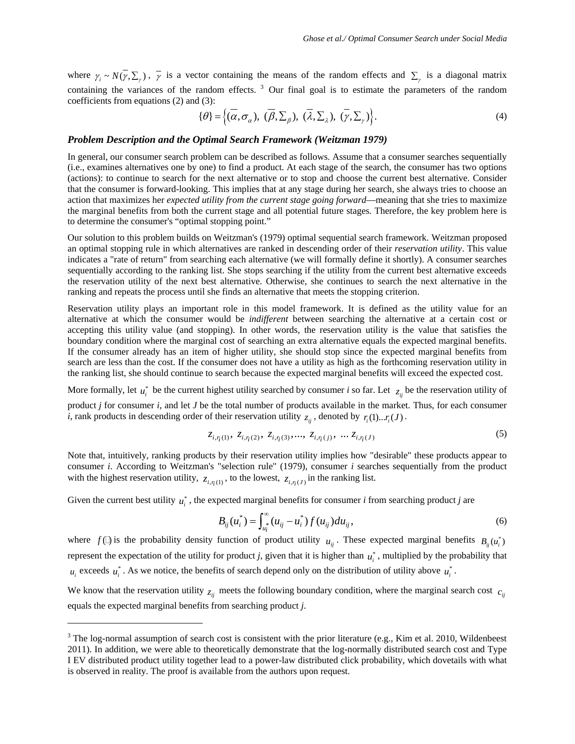where  $\gamma_i \sim N(\gamma, \Sigma_\gamma)$ ,  $\overline{\gamma}$  is a vector containing the means of the random effects and  $\Sigma_\gamma$  is a diagonal matrix containing the variances of the random effects.<sup>[3](#page-8-0)</sup> Our final goal is to estimate the parameters of the random coefficients from equations (2) and (3):

$$
\{\theta\} = \left\{ (\overline{\alpha}, \sigma_{\alpha}), \ (\overline{\beta}, \Sigma_{\beta}), \ (\overline{\lambda}, \Sigma_{\lambda}), \ (\overline{\gamma}, \Sigma_{\gamma}) \right\}.
$$
 (4)

## *Problem Description and the Optimal Search Framework (Weitzman 1979)*

In general, our consumer search problem can be described as follows. Assume that a consumer searches sequentially (i.e., examines alternatives one by one) to find a product. At each stage of the search, the consumer has two options (actions): to continue to search for the next alternative or to stop and choose the current best alternative. Consider that the consumer is forward-looking. This implies that at any stage during her search, she always tries to choose an action that maximizes her *expected utility from the current stage going forward*—meaning that she tries to maximize the marginal benefits from both the current stage and all potential future stages. Therefore, the key problem here is to determine the consumer's "optimal stopping point."

Our solution to this problem builds on Weitzman's (1979) optimal sequential search framework. Weitzman proposed an optimal stopping rule in which alternatives are ranked in descending order of their *reservation utility*. This value indicates a "rate of return" from searching each alternative (we will formally define it shortly). A consumer searches sequentially according to the ranking list. She stops searching if the utility from the current best alternative exceeds the reservation utility of the next best alternative. Otherwise, she continues to search the next alternative in the ranking and repeats the process until she finds an alternative that meets the stopping criterion.

Reservation utility plays an important role in this model framework. It is defined as the utility value for an alternative at which the consumer would be *indifferent* between searching the alternative at a certain cost or accepting this utility value (and stopping). In other words, the reservation utility is the value that satisfies the boundary condition where the marginal cost of searching an extra alternative equals the expected marginal benefits. If the consumer already has an item of higher utility, she should stop since the expected marginal benefits from search are less than the cost. If the consumer does not have a utility as high as the forthcoming reservation utility in the ranking list, she should continue to search because the expected marginal benefits will exceed the expected cost.

More formally, let  $u_i^*$  be the current highest utility searched by consumer *i* so far. Let  $z_{ij}$  be the reservation utility of product *j* for consumer *i*, and let *J* be the total number of products available in the market. Thus, for each consumer *i*, rank products in descending order of their reservation utility  $z_{ij}$ , denoted by  $r_i(1)...r_i(J)$ .

$$
z_{i,\eta(1)}, \ z_{i,\eta(2)}, \ z_{i,\eta(3)}, \dots, \ z_{i,\eta(j)}, \dots z_{i,\eta(J)}
$$
\n
$$
(5)
$$

Note that, intuitively, ranking products by their reservation utility implies how "desirable" these products appear to consumer *i*. According to Weitzman's "selection rule" (1979), consumer *i* searches sequentially from the product with the highest reservation utility,  $z_{i, \eta(1)}$ , to the lowest,  $z_{i, \eta(1)}$  in the ranking list.

Given the current best utility  $u_i^*$ , the expected marginal benefits for consumer *i* from searching product *j* are

$$
B_{ij}(u_i^*) = \int_{u_i^*}^{\infty} (u_{ij} - u_i^*) f(u_{ij}) du_{ij},
$$
\n(6)

where  $f(\mathbf{I})$  is the probability density function of product utility  $u_{ij}$ . These expected marginal benefits  $B_{ij}(u_i^*)$ represent the expectation of the utility for product *j*, given that it is higher than  $u_i^*$ , multiplied by the probability that  $u_i$  exceeds  $u_i^*$ . As we notice, the benefits of search depend only on the distribution of utility above  $u_i^*$ .

We know that the reservation utility  $z_{ij}$  meets the following boundary condition, where the marginal search cost  $c_{ij}$ equals the expected marginal benefits from searching product *j*.

 $\overline{a}$ 

<span id="page-8-0"></span> $3$  The log-normal assumption of search cost is consistent with the prior literature (e.g., Kim et al. 2010, Wildenbeest 2011). In addition, we were able to theoretically demonstrate that the log-normally distributed search cost and Type I EV distributed product utility together lead to a power-law distributed click probability, which dovetails with what is observed in reality. The proof is available from the authors upon request.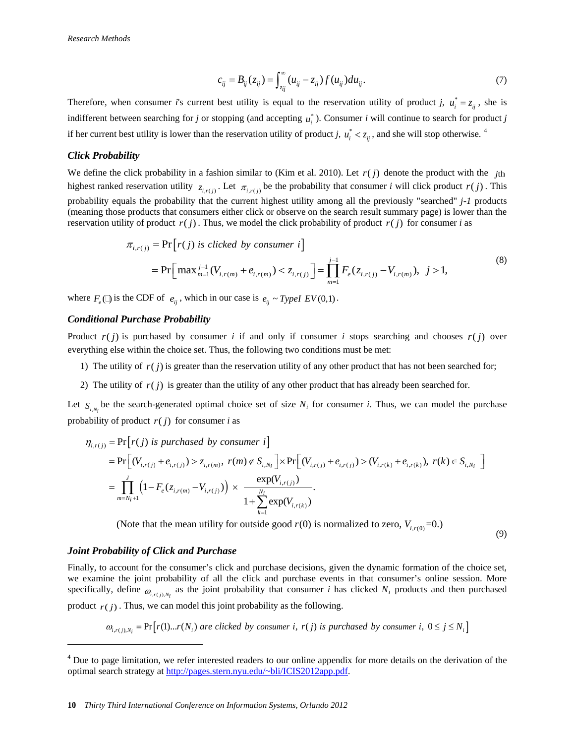$$
c_{ij} = B_{ij}(z_{ij}) = \int_{z_{ij}}^{\infty} (u_{ij} - z_{ij}) f(u_{ij}) du_{ij}.
$$
 (7)

Therefore, when consumer *i*'s current best utility is equal to the reservation utility of product *j*,  $u_i^* = z_{ij}$ , she is indifferent between searching for *j* or stopping (and accepting  $u_i^*$ ). Consumer *i* will continue to search for product *j* if her current best utility is lower than the reservation utility of product *j*,  $u_i^* < z_{ij}$ , and she will stop otherwise.<sup>[4](#page-9-0)</sup>

#### *Click Probability*

We define the click probability in a fashion similar to (Kim et al. 2010). Let  $r(j)$  denote the product with the  $j$ th highest ranked reservation utility  $z_{i,r(j)}$ . Let  $\pi_{i,r(j)}$  be the probability that consumer *i* will click product  $r(j)$ . This probability equals the probability that the current highest utility among all the previously "searched" *j-1* products (meaning those products that consumers either click or observe on the search result summary page) is lower than the reservation utility of product  $r(j)$ . Thus, we model the click probability of product  $r(j)$  for consumer *i* as

$$
\pi_{i,r(j)} = \Pr[r(j) \text{ is clicked by consumer } i]
$$
  
=  $\Pr[\max_{m=1}^{j-1} (V_{i,r(m)} + e_{i,r(m)}) < z_{i,r(j)}] = \prod_{m=1}^{j-1} F_e(z_{i,r(j)} - V_{i,r(m)}), j > 1,$  (8)

where  $F_e$  ( $\Box$ ) is the CDF of  $e_{ij}$ , which in our case is  $e_{ij} \sim TypeI$   $EV(0,1)$ .

#### *Conditional Purchase Probability*

Product  $r(j)$  is purchased by consumer *i* if and only if consumer *i* stops searching and chooses  $r(j)$  over everything else within the choice set. Thus, the following two conditions must be met:

- 1) The utility of  $r(j)$  is greater than the reservation utility of any other product that has not been searched for;
- 2) The utility of  $r(j)$  is greater than the utility of any other product that has already been searched for.

Let  $S_{i,N_i}$  be the search-generated optimal choice set of size  $N_i$  for consumer *i*. Thus, we can model the purchase probability of product  $r(j)$  for consumer *i* as

$$
\eta_{i,r(j)} = \Pr[r(j) \text{ is purchased by consumer } i]
$$
\n
$$
= \Pr[(V_{i,r(j)} + e_{i,r(j)}) > z_{i,r(m)}, \ r(m) \notin S_{i,N_i}] \times \Pr[(V_{i,r(j)} + e_{i,r(j)}) > (V_{i,r(k)} + e_{i,r(k)}), \ r(k) \in S_{i,N_i}]
$$
\n
$$
= \prod_{m=N_i+1}^{J} \left(1 - F_e(z_{i,r(m)} - V_{i,r(j)})\right) \times \frac{\exp(V_{i,r(j)})}{1 + \sum_{k=1}^{N_i} \exp(V_{i,r(k)})}.
$$

(Note that the mean utility for outside good  $r(0)$  is normalized to zero,  $V_{i,r(0)}$ =0.)

(9)

#### *Joint Probability of Click and Purchase*

 $\overline{a}$ 

Finally, to account for the consumer's click and purchase decisions, given the dynamic formation of the choice set, we examine the joint probability of all the click and purchase events in that consumer's online session. More specifically, define  $\omega_{i,r(j),N_i}$  as the joint probability that consumer *i* has clicked  $N_i$  products and then purchased product  $r(j)$ . Thus, we can model this joint probability as the following.

 $\omega_{i,r(j),N_i} = \Pr[r(1)...r(N_i)$  are clicked by consumer *i*,  $r(j)$  is purchased by consumer *i*,  $0 \le j \le N_i$ 

<span id="page-9-0"></span><sup>&</sup>lt;sup>4</sup> Due to page limitation, we refer interested readers to our online appendix for more details on the derivation of the optimal search strategy at [http://pages.stern.nyu.edu/~bli/ICIS2012app.pdf.](http://pages.stern.nyu.edu/~bli/ICIS2012app.pdf)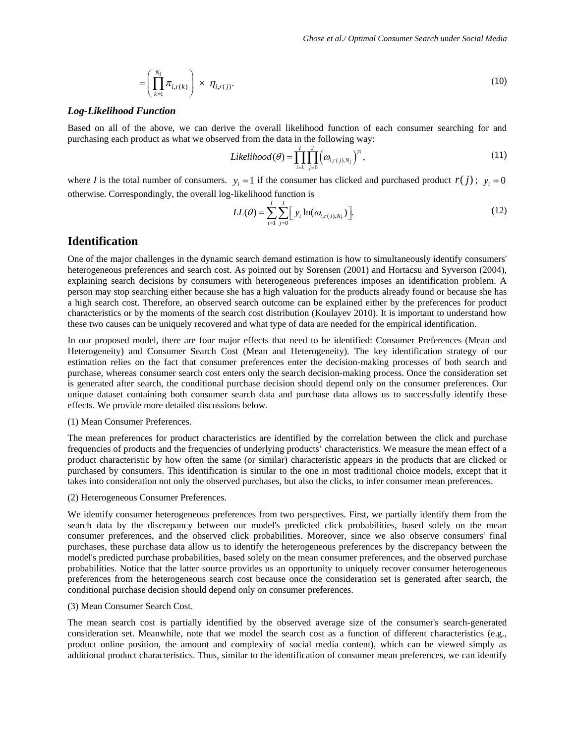$$
= \left(\prod_{k=1}^{N_i} \pi_{i,r(k)}\right) \times \eta_{i,r(j)}.
$$
\n(10)

#### *Log-Likelihood Function*

Based on all of the above, we can derive the overall likelihood function of each consumer searching for and purchasing each product as what we observed from the data in the following way:

$$
Likelihood(\theta) = \prod_{i=1}^{I} \prod_{j=0}^{J} (\omega_{i,r(j),N_i})^{y_i},
$$
\n(11)

where *I* is the total number of consumers.  $y_i = 1$  if the consumer has clicked and purchased product  $r(j)$ ;  $y_i = 0$ otherwise. Correspondingly, the overall log-likelihood function is

$$
LL(\theta) = \sum_{i=1}^{I} \sum_{j=0}^{J} \Big[ y_i \ln(\omega_{i,r(j),N_i}) \Big].
$$
 (12)

## **Identification**

One of the major challenges in the dynamic search demand estimation is how to simultaneously identify consumers' heterogeneous preferences and search cost. As pointed out by Sorensen (2001) and Hortacsu and Syverson (2004), explaining search decisions by consumers with heterogeneous preferences imposes an identification problem. A person may stop searching either because she has a high valuation for the products already found or because she has a high search cost. Therefore, an observed search outcome can be explained either by the preferences for product characteristics or by the moments of the search cost distribution (Koulayev 2010). It is important to understand how these two causes can be uniquely recovered and what type of data are needed for the empirical identification.

In our proposed model, there are four major effects that need to be identified: Consumer Preferences (Mean and Heterogeneity) and Consumer Search Cost (Mean and Heterogeneity). The key identification strategy of our estimation relies on the fact that consumer preferences enter the decision-making processes of both search and purchase, whereas consumer search cost enters only the search decision-making process. Once the consideration set is generated after search, the conditional purchase decision should depend only on the consumer preferences. Our unique dataset containing both consumer search data and purchase data allows us to successfully identify these effects. We provide more detailed discussions below.

#### (1) Mean Consumer Preferences.

The mean preferences for product characteristics are identified by the correlation between the click and purchase frequencies of products and the frequencies of underlying products' characteristics. We measure the mean effect of a product characteristic by how often the same (or similar) characteristic appears in the products that are clicked or purchased by consumers. This identification is similar to the one in most traditional choice models, except that it takes into consideration not only the observed purchases, but also the clicks, to infer consumer mean preferences.

#### (2) Heterogeneous Consumer Preferences.

We identify consumer heterogeneous preferences from two perspectives. First, we partially identify them from the search data by the discrepancy between our model's predicted click probabilities, based solely on the mean consumer preferences, and the observed click probabilities. Moreover, since we also observe consumers' final purchases, these purchase data allow us to identify the heterogeneous preferences by the discrepancy between the model's predicted purchase probabilities, based solely on the mean consumer preferences, and the observed purchase probabilities. Notice that the latter source provides us an opportunity to uniquely recover consumer heterogeneous preferences from the heterogeneous search cost because once the consideration set is generated after search, the conditional purchase decision should depend only on consumer preferences.

#### (3) Mean Consumer Search Cost.

The mean search cost is partially identified by the observed average size of the consumer's search-generated consideration set. Meanwhile, note that we model the search cost as a function of different characteristics (e.g., product online position, the amount and complexity of social media content), which can be viewed simply as additional product characteristics. Thus, similar to the identification of consumer mean preferences, we can identify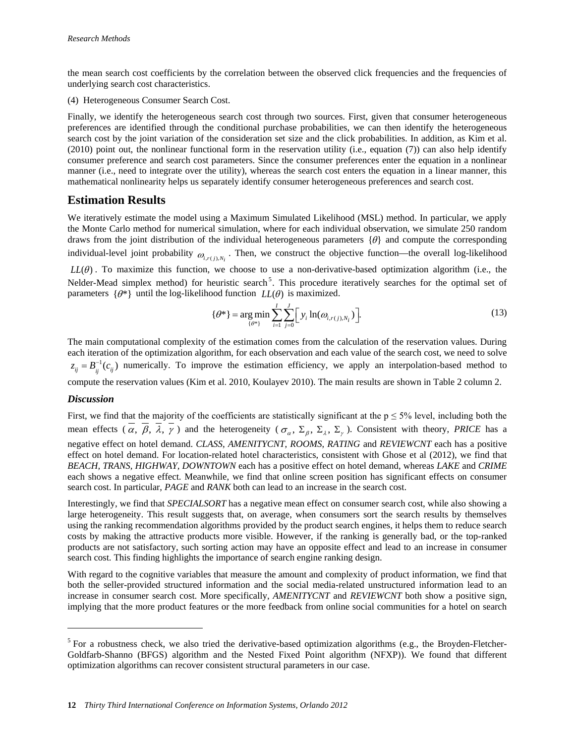the mean search cost coefficients by the correlation between the observed click frequencies and the frequencies of underlying search cost characteristics.

(4) Heterogeneous Consumer Search Cost.

Finally, we identify the heterogeneous search cost through two sources. First, given that consumer heterogeneous preferences are identified through the conditional purchase probabilities, we can then identify the heterogeneous search cost by the joint variation of the consideration set size and the click probabilities. In addition, as Kim et al. (2010) point out, the nonlinear functional form in the reservation utility (i.e., equation (7)) can also help identify consumer preference and search cost parameters. Since the consumer preferences enter the equation in a nonlinear manner (i.e., need to integrate over the utility), whereas the search cost enters the equation in a linear manner, this mathematical nonlinearity helps us separately identify consumer heterogeneous preferences and search cost.

# **Estimation Results**

We iteratively estimate the model using a Maximum Simulated Likelihood (MSL) method. In particular, we apply the Monte Carlo method for numerical simulation, where for each individual observation, we simulate 250 random draws from the joint distribution of the individual heterogeneous parameters  $\{\theta\}$  and compute the corresponding individual-level joint probability  $\omega_{i,r(j),N_i}$ . Then, we construct the objective function—the overall log-likelihood

 $LL(\theta)$ . To maximize this function, we choose to use a non-derivative-based optimization algorithm (i.e., the Nelder-Mead simplex method) for heuristic search<sup>[5](#page-11-0)</sup>. This procedure iteratively searches for the optimal set of parameters  $\{\theta^*\}$  until the log-likelihood function  $LL(\theta)$  is maximized.

$$
\{\theta^*\} = \underset{\{\theta^*\}}{\text{arg min}} \sum_{i=1}^{I} \sum_{j=0}^{J} \Big[ y_i \ln(\omega_{i,r(j),N_i}) \Big]. \tag{13}
$$

The main computational complexity of the estimation comes from the calculation of the reservation values. During each iteration of the optimization algorithm, for each observation and each value of the search cost, we need to solve  $z_{ij} = B_{ij}^{-1}(c_{ij})$  numerically. To improve the estimation efficiency, we apply an interpolation-based method to compute the reservation values (Kim et al. 2010, Koulayev 2010). The main results are shown in Table 2 column 2.

## *Discussion*

 $\overline{a}$ 

First, we find that the majority of the coefficients are statistically significant at the  $p \le 5\%$  level, including both the mean effects  $(\overline{\alpha}, \overline{\beta}, \overline{\lambda}, \overline{\gamma})$  and the heterogeneity  $(\sigma_{\alpha}, \Sigma_{\beta}, \Sigma_{\lambda}, \Sigma_{\gamma})$ . Consistent with theory, *PRICE* has a negative effect on hotel demand. *CLASS*, *AMENITYCNT*, *ROOMS*, *RATING* and *REVIEWCNT* each has a positive effect on hotel demand. For location-related hotel characteristics, consistent with Ghose et al (2012), we find that *BEACH, TRANS, HIGHWAY, DOWNTOWN* each has a positive effect on hotel demand, whereas *LAKE* and *CRIME* each shows a negative effect. Meanwhile, we find that online screen position has significant effects on consumer search cost. In particular, *PAGE* and *RANK* both can lead to an increase in the search cost.

Interestingly, we find that *SPECIALSORT* has a negative mean effect on consumer search cost, while also showing a large heterogeneity. This result suggests that, on average, when consumers sort the search results by themselves using the ranking recommendation algorithms provided by the product search engines, it helps them to reduce search costs by making the attractive products more visible. However, if the ranking is generally bad, or the top-ranked products are not satisfactory, such sorting action may have an opposite effect and lead to an increase in consumer search cost. This finding highlights the importance of search engine ranking design.

With regard to the cognitive variables that measure the amount and complexity of product information, we find that both the seller-provided structured information and the social media-related unstructured information lead to an increase in consumer search cost. More specifically, *AMENITYCNT* and *REVIEWCNT* both show a positive sign, implying that the more product features or the more feedback from online social communities for a hotel on search

<span id="page-11-0"></span><sup>&</sup>lt;sup>5</sup> For a robustness check, we also tried the derivative-based optimization algorithms (e.g., the Broyden-Fletcher-Goldfarb-Shanno (BFGS) algorithm and the Nested Fixed Point algorithm (NFXP)). We found that different optimization algorithms can recover consistent structural parameters in our case.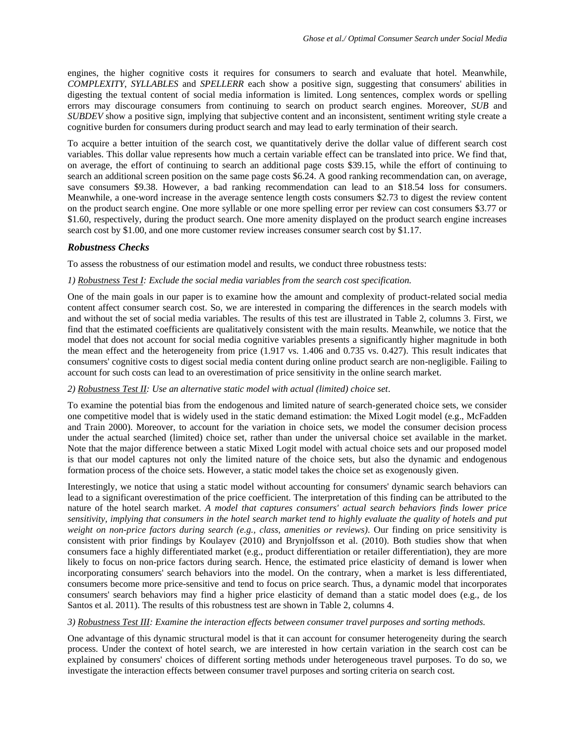engines, the higher cognitive costs it requires for consumers to search and evaluate that hotel. Meanwhile, *COMPLEXITY*, *SYLLABLES* and *SPELLERR* each show a positive sign, suggesting that consumers' abilities in digesting the textual content of social media information is limited. Long sentences, complex words or spelling errors may discourage consumers from continuing to search on product search engines. Moreover, *SUB* and *SUBDEV* show a positive sign, implying that subjective content and an inconsistent, sentiment writing style create a cognitive burden for consumers during product search and may lead to early termination of their search.

To acquire a better intuition of the search cost, we quantitatively derive the dollar value of different search cost variables. This dollar value represents how much a certain variable effect can be translated into price. We find that, on average, the effort of continuing to search an additional page costs \$39.15, while the effort of continuing to search an additional screen position on the same page costs \$6.24. A good ranking recommendation can, on average, save consumers \$9.38. However, a bad ranking recommendation can lead to an \$18.54 loss for consumers. Meanwhile, a one-word increase in the average sentence length costs consumers \$2.73 to digest the review content on the product search engine. One more syllable or one more spelling error per review can cost consumers \$3.77 or \$1.60, respectively, during the product search. One more amenity displayed on the product search engine increases search cost by \$1.00, and one more customer review increases consumer search cost by \$1.17.

### *Robustness Checks*

To assess the robustness of our estimation model and results, we conduct three robustness tests:

#### *1) Robustness Test I: Exclude the social media variables from the search cost specification.*

One of the main goals in our paper is to examine how the amount and complexity of product-related social media content affect consumer search cost. So, we are interested in comparing the differences in the search models with and without the set of social media variables. The results of this test are illustrated in Table 2, columns 3. First, we find that the estimated coefficients are qualitatively consistent with the main results. Meanwhile, we notice that the model that does not account for social media cognitive variables presents a significantly higher magnitude in both the mean effect and the heterogeneity from price (1.917 vs. 1.406 and 0.735 vs. 0.427). This result indicates that consumers' cognitive costs to digest social media content during online product search are non-negligible. Failing to account for such costs can lead to an overestimation of price sensitivity in the online search market.

#### *2) Robustness Test II: Use an alternative static model with actual (limited) choice set*.

To examine the potential bias from the endogenous and limited nature of search-generated choice sets, we consider one competitive model that is widely used in the static demand estimation: the Mixed Logit model (e.g., McFadden and Train 2000). Moreover, to account for the variation in choice sets, we model the consumer decision process under the actual searched (limited) choice set, rather than under the universal choice set available in the market. Note that the major difference between a static Mixed Logit model with actual choice sets and our proposed model is that our model captures not only the limited nature of the choice sets, but also the dynamic and endogenous formation process of the choice sets. However, a static model takes the choice set as exogenously given.

Interestingly, we notice that using a static model without accounting for consumers' dynamic search behaviors can lead to a significant overestimation of the price coefficient. The interpretation of this finding can be attributed to the nature of the hotel search market. *A model that captures consumers' actual search behaviors finds lower price sensitivity, implying that consumers in the hotel search market tend to highly evaluate the quality of hotels and put weight on non-price factors during search (e.g., class, amenities or reviews)*. Our finding on price sensitivity is consistent with prior findings by Koulayev (2010) and Brynjolfsson et al. (2010). Both studies show that when consumers face a highly differentiated market (e.g., product differentiation or retailer differentiation), they are more likely to focus on non-price factors during search. Hence, the estimated price elasticity of demand is lower when incorporating consumers' search behaviors into the model. On the contrary, when a market is less differentiated, consumers become more price-sensitive and tend to focus on price search. Thus, a dynamic model that incorporates consumers' search behaviors may find a higher price elasticity of demand than a static model does (e.g., de los Santos et al. 2011). The results of this robustness test are shown in Table 2, columns 4.

#### *3) Robustness Test III: Examine the interaction effects between consumer travel purposes and sorting methods.*

One advantage of this dynamic structural model is that it can account for consumer heterogeneity during the search process. Under the context of hotel search, we are interested in how certain variation in the search cost can be explained by consumers' choices of different sorting methods under heterogeneous travel purposes. To do so, we investigate the interaction effects between consumer travel purposes and sorting criteria on search cost.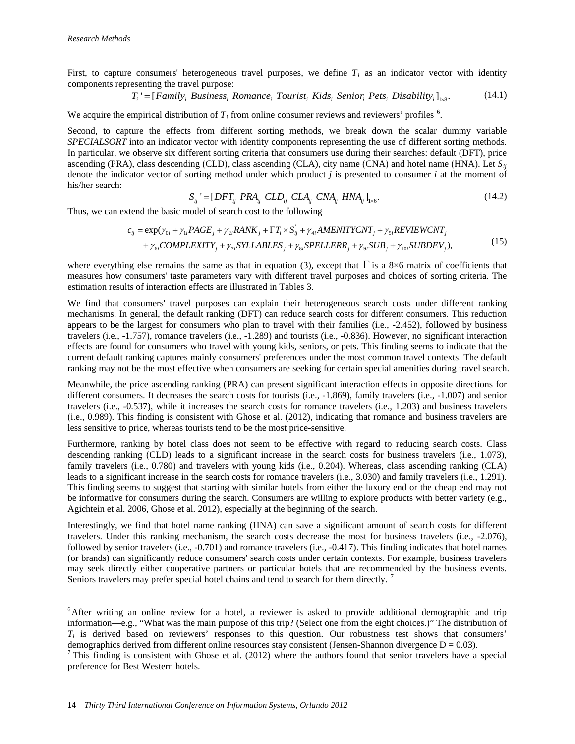$\overline{a}$ 

First, to capture consumers' heterogeneous travel purposes, we define  $T_i$  as an indicator vector with identity components representing the travel purpose:

$$
T_i = [Family_i Business_i Romance_i Tourism_iKids_i Senior_iPets_iDisability_i]_{1 \times 8}.
$$
 (14.1)

We acquire the empirical distribution of  $T_i$  from online consumer reviews and reviewers' profiles  $^6$  $^6$ .

Second, to capture the effects from different sorting methods, we break down the scalar dummy variable *SPECIALSORT* into an indicator vector with identity components representing the use of different sorting methods. In particular, we observe six different sorting criteria that consumers use during their searches: default (DFT), price ascending (PRA), class descending (CLD), class ascending (CLA), city name (CNA) and hotel name (HNA). Let  $S_{ij}$ denote the indicator vector of sorting method under which product *j* is presented to consumer *i* at the moment of his/her search:

$$
S_{ij} = [DFT_{ij} \ PRA_{ij} \ CLD_{ij} \ CLA_{ij} \ CNA_{ij} \ HNA_{ij}]_{1 \times 6}.
$$
 (14.2)

Thus, we can extend the basic model of search cost to the following

$$
c_{ij} = \exp(\gamma_{0i} + \gamma_{1i} PAGE_j + \gamma_{2i} RANK_j + \Gamma T_i \times S_{ij} + \gamma_{4i} AMENTTYCNT_j + \gamma_{5i} REVIEWCNT_j
$$
  
+ 
$$
\gamma_{6i} COMPLEXITY_j + \gamma_{7i} SYLLABLES_j + \gamma_{8i} SPELLERR_j + \gamma_{9i} SUB_j + \gamma_{10i} SUBDEV_j),
$$
 (15)

where everything else remains the same as that in equation (3), except that  $\Gamma$  is a 8×6 matrix of coefficients that measures how consumers' taste parameters vary with different travel purposes and choices of sorting criteria. The estimation results of interaction effects are illustrated in Tables 3.

We find that consumers' travel purposes can explain their heterogeneous search costs under different ranking mechanisms. In general, the default ranking (DFT) can reduce search costs for different consumers. This reduction appears to be the largest for consumers who plan to travel with their families (i.e., -2.452), followed by business travelers (i.e., -1.757), romance travelers (i.e., -1.289) and tourists (i.e., -0.836). However, no significant interaction effects are found for consumers who travel with young kids, seniors, or pets. This finding seems to indicate that the current default ranking captures mainly consumers' preferences under the most common travel contexts. The default ranking may not be the most effective when consumers are seeking for certain special amenities during travel search.

Meanwhile, the price ascending ranking (PRA) can present significant interaction effects in opposite directions for different consumers. It decreases the search costs for tourists (i.e., -1.869), family travelers (i.e., -1.007) and senior travelers (i.e., -0.537), while it increases the search costs for romance travelers (i.e., 1.203) and business travelers (i.e., 0.989). This finding is consistent with Ghose et al. (2012), indicating that romance and business travelers are less sensitive to price, whereas tourists tend to be the most price-sensitive.

Furthermore, ranking by hotel class does not seem to be effective with regard to reducing search costs. Class descending ranking (CLD) leads to a significant increase in the search costs for business travelers (i.e., 1.073), family travelers (i.e., 0.780) and travelers with young kids (i.e., 0.204). Whereas, class ascending ranking (CLA) leads to a significant increase in the search costs for romance travelers (i.e., 3.030) and family travelers (i.e., 1.291). This finding seems to suggest that starting with similar hotels from either the luxury end or the cheap end may not be informative for consumers during the search. Consumers are willing to explore products with better variety (e.g., Agichtein et al. 2006, Ghose et al. 2012), especially at the beginning of the search.

Interestingly, we find that hotel name ranking (HNA) can save a significant amount of search costs for different travelers. Under this ranking mechanism, the search costs decrease the most for business travelers (i.e., -2.076), followed by senior travelers (i.e., -0.701) and romance travelers (i.e., -0.417). This finding indicates that hotel names (or brands) can significantly reduce consumers' search costs under certain contexts. For example, business travelers may seek directly either cooperative partners or particular hotels that are recommended by the business events. Seniors travelers may prefer special hotel chains and tend to search for them directly.<sup>[7](#page-13-1)</sup>

<span id="page-13-0"></span><sup>&</sup>lt;sup>6</sup>After writing an online review for a hotel, a reviewer is asked to provide additional demographic and trip information—e.g., "What was the main purpose of this trip? (Select one from the eight choices.)" The distribution of  $T_i$  is derived based on reviewers' responses to this question. Our robustness test shows that consumers' demographics derived from different online resources stay consistent (Jensen-Shannon divergence  $D = 0.03$ ).

<span id="page-13-1"></span>This finding is consistent with Ghose et al. (2012) where the authors found that senior travelers have a special preference for Best Western hotels.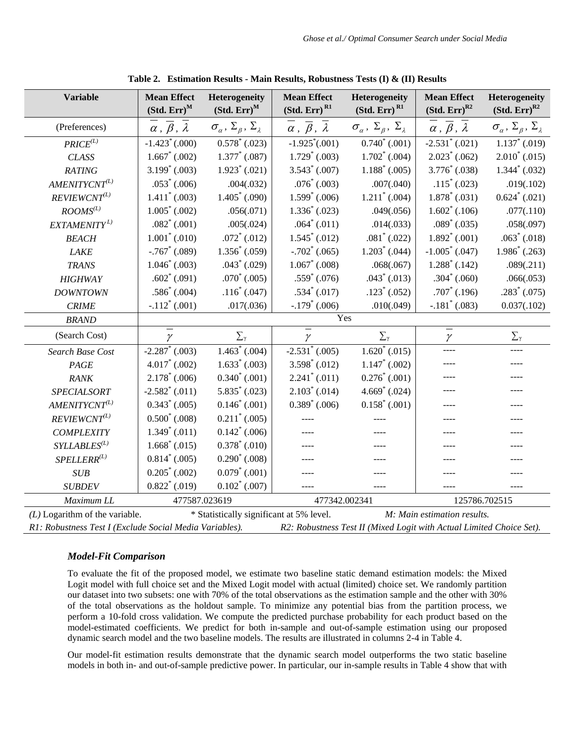| <b>Variable</b>                                                                                                                 | <b>Mean Effect</b><br>$(Std. Err)^M$      | Heterogeneity<br>$(Std. Err)^M$                     | <b>Mean Effect</b><br>$(Std. Err)$ <sup>R1</sup>     | Heterogeneity<br>(Std. Err) <sup>R1</sup>                 | <b>Mean Effect</b><br>$(Std. Err)^{R2}$   | Heterogeneity<br>$(Std. Err)^{R2}$                  |
|---------------------------------------------------------------------------------------------------------------------------------|-------------------------------------------|-----------------------------------------------------|------------------------------------------------------|-----------------------------------------------------------|-------------------------------------------|-----------------------------------------------------|
| (Preferences)                                                                                                                   | $\alpha$ , $\overline{\beta}$ , $\lambda$ | $\sigma_\alpha$ , $\Sigma_\beta$ , $\Sigma_\lambda$ | $\alpha$ , $\overline{\beta}$ , $\overline{\lambda}$ | $\sigma_{\alpha}$ , $\Sigma_{\beta}$ , $\Sigma_{\lambda}$ | $\alpha$ , $\overline{\beta}$ , $\lambda$ | $\sigma_\alpha$ , $\Sigma_\beta$ , $\Sigma_\lambda$ |
| $PRICE^{(L)}$                                                                                                                   | $-1.423^*(.000)$                          | $0.578^*$ (.023)                                    | $-1.925^*(.001)$                                     | $0.740^*$ (.001)                                          | $-2.531^*$ (.021)                         | $1.137^*$ (.019)                                    |
| <b>CLASS</b>                                                                                                                    | $1.667^*$ (.002)                          | $1.377^*$ (.087)                                    | $1.729^*$ (.003)                                     | $1.702^*$ (.004)                                          | $2.023^*$ (.062)                          | $2.010^*$ (.015)                                    |
| <b>RATING</b>                                                                                                                   | $3.199^*$ (.003)                          | $1.923^*$ (.021)                                    | $3.543^*$ (.007)                                     | $1.188^*$ (.005)                                          | $3.776^*$ (.038)                          | $1.344^*$ (.032)                                    |
| $AMENITYCNT^{(L)}$                                                                                                              | $.053^*$ (.006)                           | .004(.032)                                          | $.076^*$ (.003)                                      | .007(.040)                                                | $.115^*$ (.023)                           | .019(.102)                                          |
| $REVIEWCNT^{(L)}$                                                                                                               | $1.411^*$ (.003)                          | $1.405^*$ (.090)                                    | $1.599^*$ (.006)                                     | $1.211^*$ (.004)                                          | $1.878^*$ (.031)                          | $0.624^*$ (.021)                                    |
| $\mathit{ROOMS}^{(L)}$                                                                                                          | $1.005^*$ (.002)                          | .056(.071)                                          | $1.336^*$ (.023)                                     | .049(.056)                                                | $1.602^*$ (.106)                          | .077(.110)                                          |
| EXTAMENITY <sup>L)</sup>                                                                                                        | $.082^*$ (.001)                           | .005(.024)                                          | $.064^*$ (.011)                                      | .014(.033)                                                | $.089^*$ (.035)                           | .058(.097)                                          |
| <b>BEACH</b>                                                                                                                    | $1.001^*$ (.010)                          | $.072^*$ (.012)                                     | $1.545^*$ (.012)                                     | $.081^*$ (.022)                                           | $1.892^*$ (.001)                          | $.063^*$ (.018)                                     |
| <b>LAKE</b>                                                                                                                     | $-.767$ (.089)                            | $1.356^*$ (.059)                                    | $-.702^*(.065)$                                      | $1.203^*$ (.044)                                          | $-1.005^*$ (.047)                         | $1.986^*$ (.263)                                    |
| <b>TRANS</b>                                                                                                                    | $1.046^*$ (.003)                          | $.043^*$ (.029)                                     | $1.067^*$ (.008)                                     | .068(.067)                                                | $1.288^*$ (.142)                          | .089(.211)                                          |
| <b>HIGHWAY</b>                                                                                                                  | $.602^*$ (.091)                           | $.070^*$ (.005)                                     | $.559^*$ (.076)                                      | $.043^*$ (.013)                                           | $.304^*$ (.060)                           | .066(.053)                                          |
| <b>DOWNTOWN</b>                                                                                                                 | $.586^*$ (.004)                           | $.116^*$ (.047)                                     | $.534^*$ (.017)                                      | $.123^*$ (.052)                                           | $.707^*$ (.196)                           | $.283^*$ (.075)                                     |
| <b>CRIME</b>                                                                                                                    | $-.112^*(.001)$                           | .017(.036)                                          | $-.179^*(.006)$                                      | .010(.049)                                                | $-.181^*(.083)$                           | 0.037(.102)                                         |
| <b>BRAND</b>                                                                                                                    |                                           |                                                     |                                                      | Yes                                                       |                                           |                                                     |
| (Search Cost)                                                                                                                   | $\gamma$                                  | $\sum_{\gamma}$                                     | $\gamma$                                             | $\Sigma_{\gamma}$                                         | $\gamma$                                  | $\sum_{\gamma}$                                     |
| <b>Search Base Cost</b>                                                                                                         | $-2.287^*$ (.003)                         | $1.463^*$ (.004)                                    | $-2.531^*$ (.005)                                    | $1.620^*$ (.015)                                          |                                           |                                                     |
| PAGE                                                                                                                            | $4.017^*$ (.002)                          | $1.633^*$ (.003)                                    | $3.598^*$ (.012)                                     | $1.147^*$ (.002)                                          |                                           |                                                     |
| <b>RANK</b>                                                                                                                     | $2.178^*$ (.006)                          | $0.340^*$ (.001)                                    | $2.241^*$ (.011)                                     | $0.276^*$ (.001)                                          |                                           |                                                     |
| <b>SPECIALSORT</b>                                                                                                              | $-2.582^*$ (.011)                         | $5.835^*$ (.023)                                    | $2.103^*$ (.014)                                     | $4.669^*$ (.024)                                          |                                           |                                                     |
| $AMENITYCNT^{(L)}$                                                                                                              | $0.343^*$ (.005)                          | $0.146^*$ (.001)                                    | $0.389^*$ (.006)                                     | $0.158^*$ (.001)                                          |                                           |                                                     |
| $REVIEWCNT^{(L)}$                                                                                                               | $0.500^*$ (.008)                          | $0.211^*$ (.005)                                    |                                                      |                                                           |                                           |                                                     |
| <b>COMPLEXITY</b>                                                                                                               | $1.349^*$ (.011)                          | $0.142^*$ (.006)                                    |                                                      |                                                           |                                           |                                                     |
| $SYLLABLES^{(L)}$                                                                                                               | $1.668^*$ (.015)                          | $0.378^*$ (.010)                                    |                                                      |                                                           |                                           |                                                     |
| $SPELLERR^{(L)}$                                                                                                                | $0.814^*$ (.005)                          | $0.290^*$ (.008)                                    |                                                      |                                                           |                                           |                                                     |
| SUB                                                                                                                             | $0.205^*$ (.002)                          | $0.079^*$ (.001)                                    |                                                      |                                                           |                                           |                                                     |
| <b>SUBDEV</b>                                                                                                                   | $0.822^*$ (.019)                          | $0.102^*$ (.007)                                    |                                                      |                                                           |                                           |                                                     |
| Maximum LL                                                                                                                      | 477587.023619                             |                                                     | 477342.002341                                        |                                                           | 125786.702515                             |                                                     |
| $(L)$ Logarithm of the variable.                                                                                                |                                           | * Statistically significant at 5% level.            |                                                      |                                                           | M: Main estimation results.               |                                                     |
| R1: Robustness Test I (Exclude Social Media Variables).<br>R2: Robustness Test II (Mixed Logit with Actual Limited Choice Set). |                                           |                                                     |                                                      |                                                           |                                           |                                                     |

**Table 2. Estimation Results - Main Results, Robustness Tests (I) & (II) Results**

## *Model-Fit Comparison*

To evaluate the fit of the proposed model, we estimate two baseline static demand estimation models: the Mixed Logit model with full choice set and the Mixed Logit model with actual (limited) choice set. We randomly partition our dataset into two subsets: one with 70% of the total observations as the estimation sample and the other with 30% of the total observations as the holdout sample. To minimize any potential bias from the partition process, we perform a 10-fold cross validation. We compute the predicted purchase probability for each product based on the model-estimated coefficients. We predict for both in-sample and out-of-sample estimation using our proposed dynamic search model and the two baseline models. The results are illustrated in columns 2-4 in Table 4.

Our model-fit estimation results demonstrate that the dynamic search model outperforms the two static baseline models in both in- and out-of-sample predictive power. In particular, our in-sample results in Table 4 show that with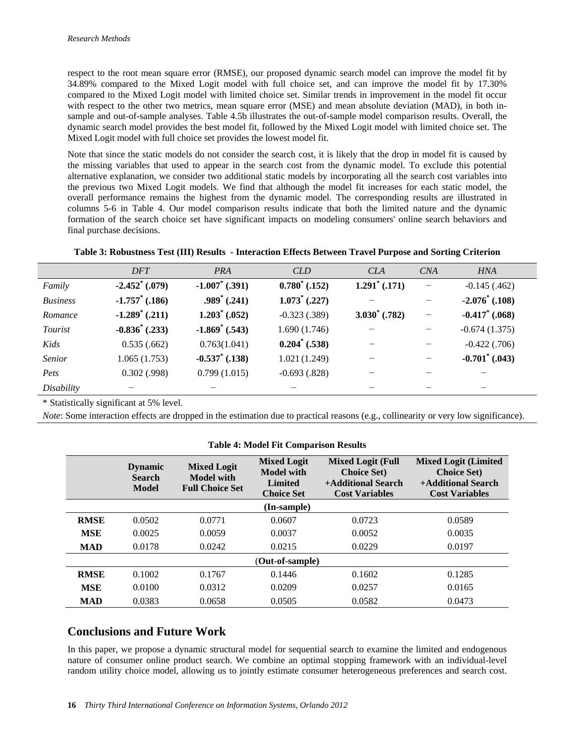respect to the root mean square error (RMSE), our proposed dynamic search model can improve the model fit by 34.89% compared to the Mixed Logit model with full choice set, and can improve the model fit by 17.30% compared to the Mixed Logit model with limited choice set. Similar trends in improvement in the model fit occur with respect to the other two metrics, mean square error (MSE) and mean absolute deviation (MAD), in both insample and out-of-sample analyses. Table 4.5b illustrates the out-of-sample model comparison results. Overall, the dynamic search model provides the best model fit, followed by the Mixed Logit model with limited choice set. The Mixed Logit model with full choice set provides the lowest model fit.

Note that since the static models do not consider the search cost, it is likely that the drop in model fit is caused by the missing variables that used to appear in the search cost from the dynamic model. To exclude this potential alternative explanation, we consider two additional static models by incorporating all the search cost variables into the previous two Mixed Logit models. We find that although the model fit increases for each static model, the overall performance remains the highest from the dynamic model. The corresponding results are illustrated in columns 5-6 in Table 4. Our model comparison results indicate that both the limited nature and the dynamic formation of the search choice set have significant impacts on modeling consumers' online search behaviors and final purchase decisions.

| Table 3: Robustness Test (III) Results - Interaction Effects Between Travel Purpose and Sorting Criterion |  |  |
|-----------------------------------------------------------------------------------------------------------|--|--|
|                                                                                                           |  |  |

|                 | <b>DFT</b>        | PRA                   | <b>CLD</b>       | <b>CLA</b>       | CNA                      | <b>HNA</b>        |
|-----------------|-------------------|-----------------------|------------------|------------------|--------------------------|-------------------|
| Family          | $-2.452^*$ (.079) | $-1.007^*$ (.391)     | $0.780^*$ (.152) | $1.291^*$ (.171) | $\overline{\phantom{0}}$ | $-0.145(.462)$    |
| <b>Business</b> | $-1.757$ (.186)   | $.989^{\circ}$ (.241) | $1.073^*$ (.227) |                  |                          | $-2.076^*$ (.108) |
| Romance         | $-1.289^*$ (.211) | $1.203^*$ (.052)      | $-0.323(0.389)$  | $3.030^*$ (.782) | -                        | $-0.417$ (.068)   |
| Tourist         | $-0.836^*$ (.233) | $-1.869^*$ (.543)     | 1.690(1.746)     |                  |                          | $-0.674(1.375)$   |
| Kids            | 0.535(.662)       | 0.763(1.041)          | $0.204^*$ (.538) |                  |                          | $-0.422$ $(.706)$ |
| Senior          | 1.065(1.753)      | $-0.537^*$ (.138)     | 1.021(1.249)     |                  |                          | $-0.701^*$ (.043) |
| Pets            | 0.302(0.998)      | 0.799(1.015)          | $-0.693(.828)$   |                  |                          |                   |
| Disability      |                   |                       |                  |                  |                          |                   |

\* Statistically significant at 5% level.

*Note*: Some interaction effects are dropped in the estimation due to practical reasons (e.g., collinearity or very low significance).

|                 | <b>Dynamic</b><br><b>Search</b><br><b>Model</b> | <b>Mixed Logit</b><br><b>Model with</b><br><b>Full Choice Set</b> | <b>Mixed Logit</b><br><b>Model with</b><br><b>Limited</b><br><b>Choice Set</b> | <b>Mixed Logit (Full</b><br><b>Choice Set)</b><br>+Additional Search<br><b>Cost Variables</b> | <b>Mixed Logit (Limited</b><br><b>Choice Set)</b><br>+Additional Search<br><b>Cost Variables</b> |  |  |
|-----------------|-------------------------------------------------|-------------------------------------------------------------------|--------------------------------------------------------------------------------|-----------------------------------------------------------------------------------------------|--------------------------------------------------------------------------------------------------|--|--|
| (In-sample)     |                                                 |                                                                   |                                                                                |                                                                                               |                                                                                                  |  |  |
| <b>RMSE</b>     | 0.0502                                          | 0.0771                                                            | 0.0607                                                                         | 0.0723                                                                                        | 0.0589                                                                                           |  |  |
| <b>MSE</b>      | 0.0025                                          | 0.0059                                                            | 0.0037                                                                         | 0.0052                                                                                        | 0.0035                                                                                           |  |  |
| <b>MAD</b>      | 0.0178                                          | 0.0242                                                            | 0.0215                                                                         | 0.0229                                                                                        | 0.0197                                                                                           |  |  |
| (Out-of-sample) |                                                 |                                                                   |                                                                                |                                                                                               |                                                                                                  |  |  |
| <b>RMSE</b>     | 0.1002                                          | 0.1767                                                            | 0.1446                                                                         | 0.1602                                                                                        | 0.1285                                                                                           |  |  |
| <b>MSE</b>      | 0.0100                                          | 0.0312                                                            | 0.0209                                                                         | 0.0257                                                                                        | 0.0165                                                                                           |  |  |
| <b>MAD</b>      | 0.0383                                          | 0.0658                                                            | 0.0505                                                                         | 0.0582                                                                                        | 0.0473                                                                                           |  |  |

#### **Table 4: Model Fit Comparison Results**

# **Conclusions and Future Work**

In this paper, we propose a dynamic structural model for sequential search to examine the limited and endogenous nature of consumer online product search. We combine an optimal stopping framework with an individual-level random utility choice model, allowing us to jointly estimate consumer heterogeneous preferences and search cost.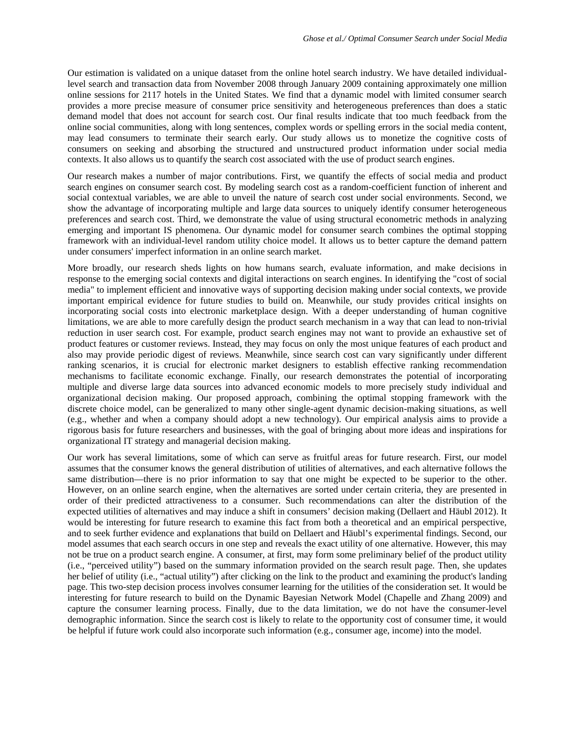Our estimation is validated on a unique dataset from the online hotel search industry. We have detailed individuallevel search and transaction data from November 2008 through January 2009 containing approximately one million online sessions for 2117 hotels in the United States. We find that a dynamic model with limited consumer search provides a more precise measure of consumer price sensitivity and heterogeneous preferences than does a static demand model that does not account for search cost. Our final results indicate that too much feedback from the online social communities, along with long sentences, complex words or spelling errors in the social media content, may lead consumers to terminate their search early. Our study allows us to monetize the cognitive costs of consumers on seeking and absorbing the structured and unstructured product information under social media contexts. It also allows us to quantify the search cost associated with the use of product search engines.

Our research makes a number of major contributions. First, we quantify the effects of social media and product search engines on consumer search cost. By modeling search cost as a random-coefficient function of inherent and social contextual variables, we are able to unveil the nature of search cost under social environments. Second, we show the advantage of incorporating multiple and large data sources to uniquely identify consumer heterogeneous preferences and search cost. Third, we demonstrate the value of using structural econometric methods in analyzing emerging and important IS phenomena. Our dynamic model for consumer search combines the optimal stopping framework with an individual-level random utility choice model. It allows us to better capture the demand pattern under consumers' imperfect information in an online search market.

More broadly, our research sheds lights on how humans search, evaluate information, and make decisions in response to the emerging social contexts and digital interactions on search engines. In identifying the "cost of social media" to implement efficient and innovative ways of supporting decision making under social contexts, we provide important empirical evidence for future studies to build on. Meanwhile, our study provides critical insights on incorporating social costs into electronic marketplace design. With a deeper understanding of human cognitive limitations, we are able to more carefully design the product search mechanism in a way that can lead to non-trivial reduction in user search cost. For example, product search engines may not want to provide an exhaustive set of product features or customer reviews. Instead, they may focus on only the most unique features of each product and also may provide periodic digest of reviews. Meanwhile, since search cost can vary significantly under different ranking scenarios, it is crucial for electronic market designers to establish effective ranking recommendation mechanisms to facilitate economic exchange. Finally, our research demonstrates the potential of incorporating multiple and diverse large data sources into advanced economic models to more precisely study individual and organizational decision making. Our proposed approach, combining the optimal stopping framework with the discrete choice model, can be generalized to many other single-agent dynamic decision-making situations, as well (e.g., whether and when a company should adopt a new technology). Our empirical analysis aims to provide a rigorous basis for future researchers and businesses, with the goal of bringing about more ideas and inspirations for organizational IT strategy and managerial decision making.

Our work has several limitations, some of which can serve as fruitful areas for future research. First, our model assumes that the consumer knows the general distribution of utilities of alternatives, and each alternative follows the same distribution—there is no prior information to say that one might be expected to be superior to the other. However, on an online search engine, when the alternatives are sorted under certain criteria, they are presented in order of their predicted attractiveness to a consumer. Such recommendations can alter the distribution of the expected utilities of alternatives and may induce a shift in consumers' decision making (Dellaert and Häubl 2012). It would be interesting for future research to examine this fact from both a theoretical and an empirical perspective, and to seek further evidence and explanations that build on Dellaert and Häubl's experimental findings. Second, our model assumes that each search occurs in one step and reveals the exact utility of one alternative. However, this may not be true on a product search engine. A consumer, at first, may form some preliminary belief of the product utility (i.e., "perceived utility") based on the summary information provided on the search result page. Then, she updates her belief of utility (i.e., "actual utility") after clicking on the link to the product and examining the product's landing page. This two-step decision process involves consumer learning for the utilities of the consideration set. It would be interesting for future research to build on the Dynamic Bayesian Network Model (Chapelle and Zhang 2009) and capture the consumer learning process. Finally, due to the data limitation, we do not have the consumer-level demographic information. Since the search cost is likely to relate to the opportunity cost of consumer time, it would be helpful if future work could also incorporate such information (e.g., consumer age, income) into the model.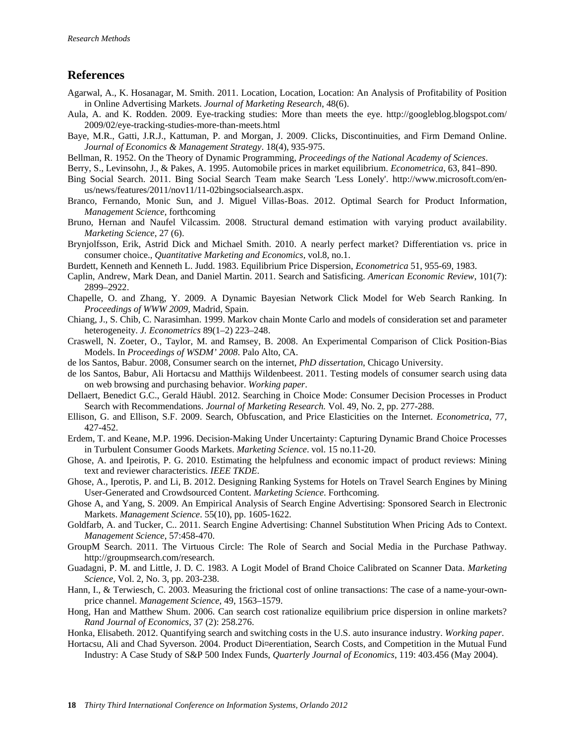# **References**

- Agarwal, A., K. Hosanagar, M. Smith. 2011. Location, Location, Location: An Analysis of Profitability of Position in Online Advertising Markets. *Journal of Marketing Research*, 48(6).
- Aula, A. and K. Rodden. 2009. Eye-tracking studies: More than meets the eye. http://googleblog.blogspot.com/ 2009/02/eye-tracking-studies-more-than-meets.html
- Baye, M.R., Gatti, J.R.J., Kattuman, P. and Morgan, J. 2009. Clicks, Discontinuities, and Firm Demand Online. *Journal of Economics & Management Strategy*. 18(4), 935-975.
- Bellman, R. 1952. On the Theory of Dynamic Programming, *Proceedings of the National Academy of Sciences*.
- Berry, S., Levinsohn, J., & Pakes, A. 1995. Automobile prices in market equilibrium. *Econometrica*, 63, 841–890.
- Bing Social Search. 2011. Bing Social Search Team make Search 'Less Lonely'. http://www.microsoft.com/enus/news/features/2011/nov11/11-02bingsocialsearch.aspx.
- Branco, Fernando, Monic Sun, and J. Miguel Villas-Boas. 2012. Optimal Search for Product Information, *Management Science*, forthcoming
- Bruno, Hernan and Naufel Vilcassim. 2008. Structural demand estimation with varying product availability. *Marketing Science*, 27 (6).
- Brynjolfsson, Erik, Astrid Dick and Michael Smith. 2010. A nearly perfect market? Differentiation vs. price in consumer choice., *Quantitative Marketing and Economics*, vol.8, no.1.
- Burdett, Kenneth and Kenneth L. Judd. 1983. Equilibrium Price Dispersion, *Econometrica* 51, 955-69, 1983.
- Caplin, Andrew, Mark Dean, and Daniel Martin. 2011. Search and Satisficing. *American Economic Review*, 101(7): 2899–2922.
- Chapelle, O. and Zhang, Y. 2009. A Dynamic Bayesian Network Click Model for Web Search Ranking. In *Proceedings of WWW 2009*, Madrid, Spain.
- Chiang, J., S. Chib, C. Narasimhan. 1999. Markov chain Monte Carlo and models of consideration set and parameter heterogeneity. *J. Econometrics* 89(1–2) 223–248.
- Craswell, N. Zoeter, O., Taylor, M. and Ramsey, B. 2008. An Experimental Comparison of Click Position-Bias Models. In *Proceedings of WSDM' 2008*. Palo Alto, CA.
- de los Santos, Babur. 2008, Consumer search on the internet, *PhD dissertation*, Chicago University.
- de los Santos, Babur, Ali Hortacsu and Matthijs Wildenbeest. 2011. Testing models of consumer search using data on web browsing and purchasing behavior. *Working paper*.
- Dellaert, Benedict G.C., Gerald Häubl. 2012. Searching in Choice Mode: Consumer Decision Processes in Product Search with Recommendations. *Journal of Marketing Research.* Vol. 49, No. 2, pp. 277-288.
- Ellison, G. and Ellison, S.F. 2009. Search, Obfuscation, and Price Elasticities on the Internet. *Econometrica*, 77, 427-452.
- [Erdem,](http://mktsci.journal.informs.org/search?author1=T%C3%BClin+Erdem&sortspec=date&submit=Submit) T. and Keane, [M.P.](http://mktsci.journal.informs.org/search?author1=Michael+P.+Keane&sortspec=date&submit=Submit) 1996. Decision-Making Under Uncertainty: Capturing Dynamic Brand Choice Processes in Turbulent Consumer Goods Markets. *Marketing Science*. vol. 15 no.11-20.
- Ghose, A. and Ipeirotis, P. G. 2010. Estimating the helpfulness and economic impact of product reviews: Mining text and reviewer characteristics. *IEEE TKDE*.
- Ghose, A., Iperotis, P. and Li, B. 2012. Designing Ranking Systems for Hotels on Travel Search Engines by Mining User-Generated and Crowdsourced Content. *Marketing Science*. Forthcoming.
- Ghose A, and Yang, S. 2009. An Empirical Analysis of Search Engine Advertising: Sponsored Search in Electronic Markets. *Management Science*. 55(10), pp. 1605-1622.
- Goldfarb, A. and Tucker, C.. 2011. Search Engine Advertising: Channel Substitution When Pricing Ads to Context. *Management Science*, 57:458-470.
- GroupM Search. 2011. The Virtuous Circle: The Role of Search and Social Media in the Purchase Pathway. http://groupmsearch.com/research.
- Guadagni, P. M. and Little, J. D. C. 1983. A Logit Model of Brand Choice Calibrated on Scanner Data. *Marketing Science*, Vol. 2, No. 3, pp. 203-238.
- Hann, I., & Terwiesch, C. 2003. Measuring the frictional cost of online transactions: The case of a name-your-ownprice channel. *Management Science*, 49, 1563–1579.
- Hong, Han and Matthew Shum. 2006. Can search cost rationalize equilibrium price dispersion in online markets? *Rand Journal of Economics*, 37 (2): 258.276.
- Honka, Elisabeth. 2012. Quantifying search and switching costs in the U.S. auto insurance industry. *Working paper*.
- Hortacsu, Ali and Chad Syverson. 2004. Product Di¤erentiation, Search Costs, and Competition in the Mutual Fund Industry: A Case Study of S&P 500 Index Funds, *Quarterly Journal of Economics*, 119: 403.456 (May 2004).